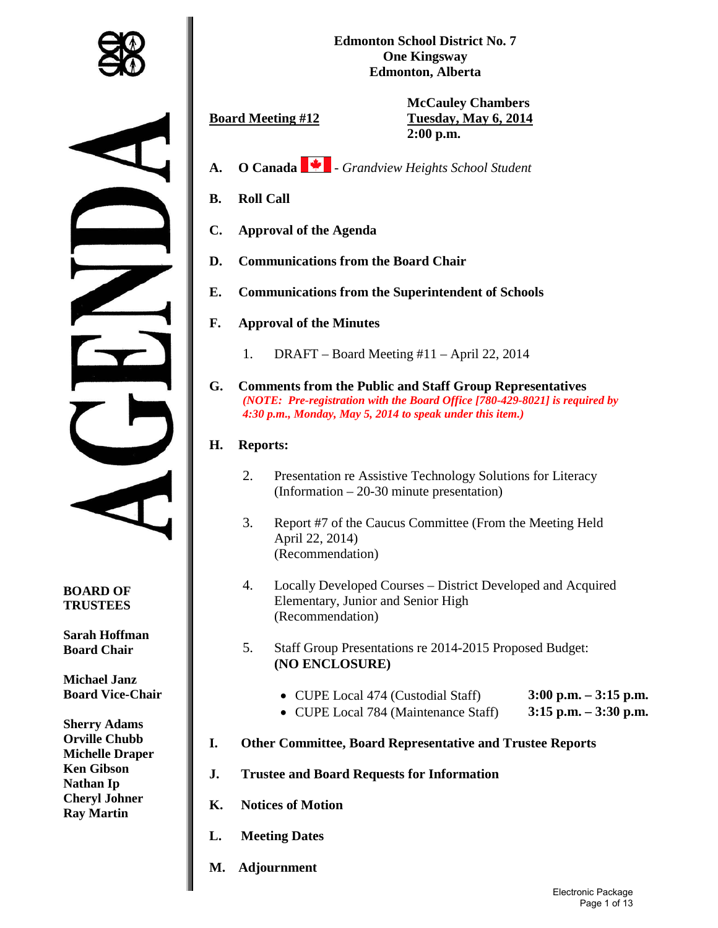

**Edmonton School District No. 7 One Kingsway Edmonton, Alberta**

**McCauley Chambers Board Meeting #12 Tuesday, May 6, 2014 2:00 p.m.**

- **A. O Canada**  *Grandview Heights School Student*
- **B. Roll Call**
- **C. Approval of the Agenda**
- **D. Communications from the Board Chair**
- **E. Communications from the Superintendent of Schools**
- **F. Approval of the Minutes** 
	- 1. DRAFT Board Meeting #11 April 22, 2014
- **G. Comments from the Public and Staff Group Representatives** *(NOTE: Pre-registration with the Board Office [780-429-8021] is required by 4:30 p.m., Monday, May 5, 2014 to speak under this item.)*

# **H. Reports:**

- 2. Presentation re Assistive Technology Solutions for Literacy (Information – 20-30 minute presentation)
- 3. Report #7 of the Caucus Committee (From the Meeting Held April 22, 2014) (Recommendation)
- 4. Locally Developed Courses District Developed and Acquired Elementary, Junior and Senior High (Recommendation)
- 5. Staff Group Presentations re 2014-2015 Proposed Budget: **(NO ENCLOSURE)** 
	- CUPE Local 474 (Custodial Staff) **3:00 p.m. – 3:15 p.m.**
	- CUPE Local 784 (Maintenance Staff) **3:15 p.m. – 3:30 p.m.**
- **I. Other Committee, Board Representative and Trustee Reports**
- **J. Trustee and Board Requests for Information**
- **K. Notices of Motion**
- **L. Meeting Dates**
- **M. Adjournment**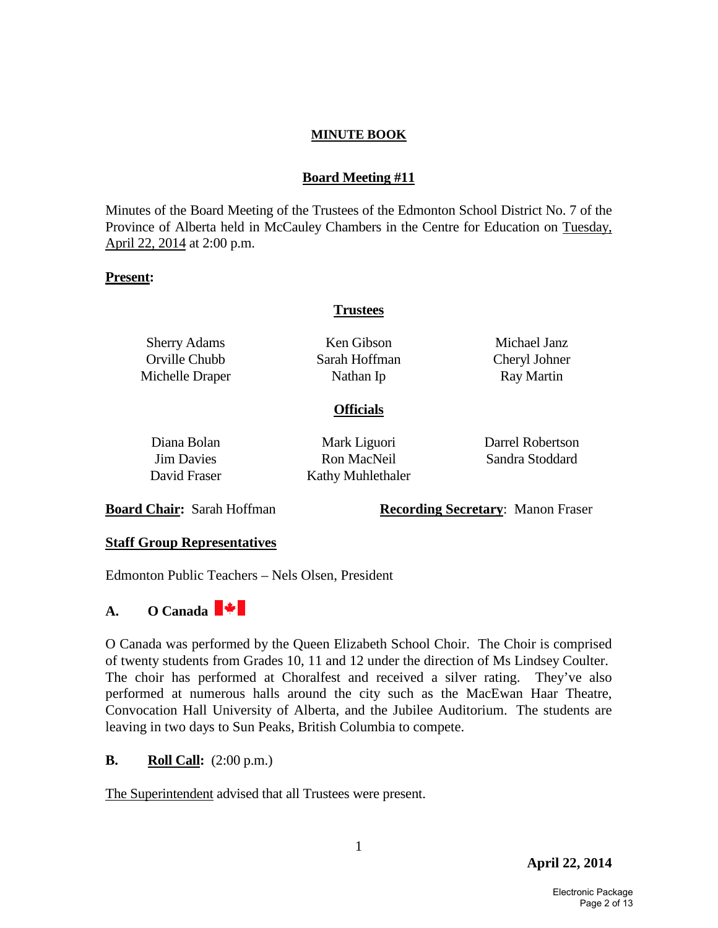#### **Board Meeting #11**

Minutes of the Board Meeting of the Trustees of the Edmonton School District No. 7 of the Province of Alberta held in McCauley Chambers in the Centre for Education on Tuesday, April 22, 2014 at 2:00 p.m.

#### **Present:**

#### **Trustees**

Sherry Adams Orville Chubb Michelle Draper

Ken Gibson Sarah Hoffman Nathan Ip

Michael Janz Cheryl Johner Ray Martin

#### **Officials**

| Diana Bolan                              | Mark Liguori | Darrel Robertson |
|------------------------------------------|--------------|------------------|
| <b>Jim Davies</b>                        | Ron MacNeil  | Sandra Stoddard  |
| David Fraser<br><b>Kathy Muhlethaler</b> |              |                  |

**Board Chair:** Sarah Hoffman **Recording Secretary**: Manon Fraser

#### **Staff Group Representatives**

Edmonton Public Teachers – Nels Olsen, President

# **A. O Canada**

O Canada was performed by the Queen Elizabeth School Choir. The Choir is comprised of twenty students from Grades 10, 11 and 12 under the direction of Ms Lindsey Coulter. The choir has performed at Choralfest and received a silver rating. They've also performed at numerous halls around the city such as the MacEwan Haar Theatre, Convocation Hall University of Alberta, and the Jubilee Auditorium. The students are leaving in two days to Sun Peaks, British Columbia to compete.

#### **B. Roll Call:** (2:00 p.m.)

The Superintendent advised that all Trustees were present.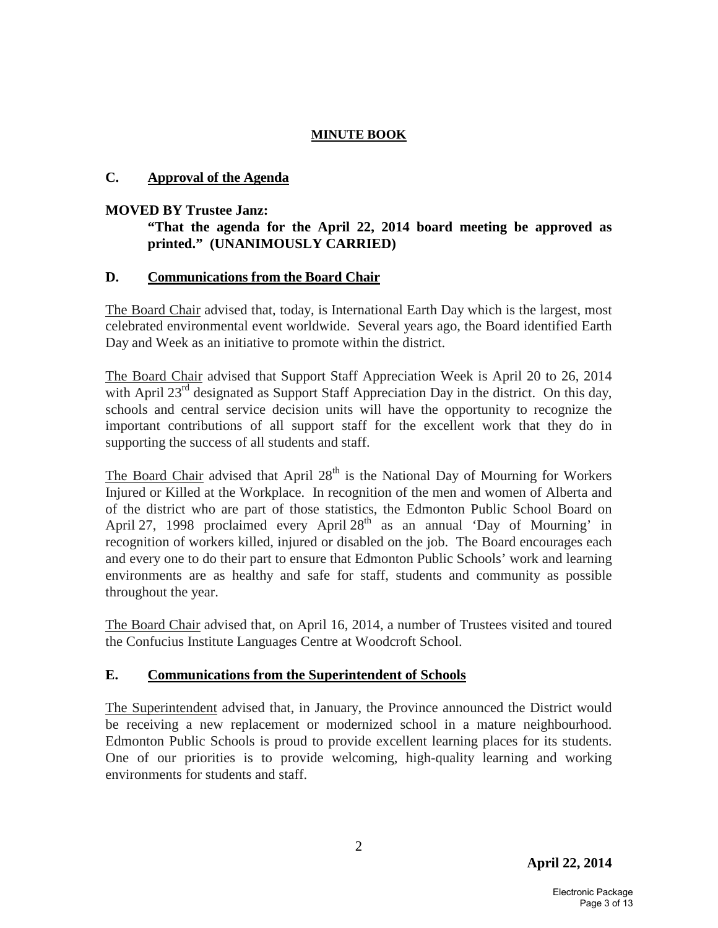# **C. Approval of the Agenda**

#### **MOVED BY Trustee Janz:**

# **"That the agenda for the April 22, 2014 board meeting be approved as printed." (UNANIMOUSLY CARRIED)**

### **D. Communications from the Board Chair**

The Board Chair advised that, today, is International Earth Day which is the largest, most celebrated environmental event worldwide. Several years ago, the Board identified Earth Day and Week as an initiative to promote within the district.

The Board Chair advised that Support Staff Appreciation Week is April 20 to 26, 2014 with April  $23<sup>rd</sup>$  designated as Support Staff Appreciation Day in the district. On this day, schools and central service decision units will have the opportunity to recognize the important contributions of all support staff for the excellent work that they do in supporting the success of all students and staff.

The Board Chair advised that April  $28<sup>th</sup>$  is the National Day of Mourning for Workers Injured or Killed at the Workplace. In recognition of the men and women of Alberta and of the district who are part of those statistics, the Edmonton Public School Board on April 27, 1998 proclaimed every April 28<sup>th</sup> as an annual 'Day of Mourning' in recognition of workers killed, injured or disabled on the job. The Board encourages each and every one to do their part to ensure that Edmonton Public Schools' work and learning environments are as healthy and safe for staff, students and community as possible throughout the year.

The Board Chair advised that, on April 16, 2014, a number of Trustees visited and toured the Confucius Institute Languages Centre at Woodcroft School.

# **E. Communications from the Superintendent of Schools**

The Superintendent advised that, in January, the Province announced the District would be receiving a new replacement or modernized school in a mature neighbourhood. Edmonton Public Schools is proud to provide excellent learning places for its students. One of our priorities is to provide welcoming, high-quality learning and working environments for students and staff.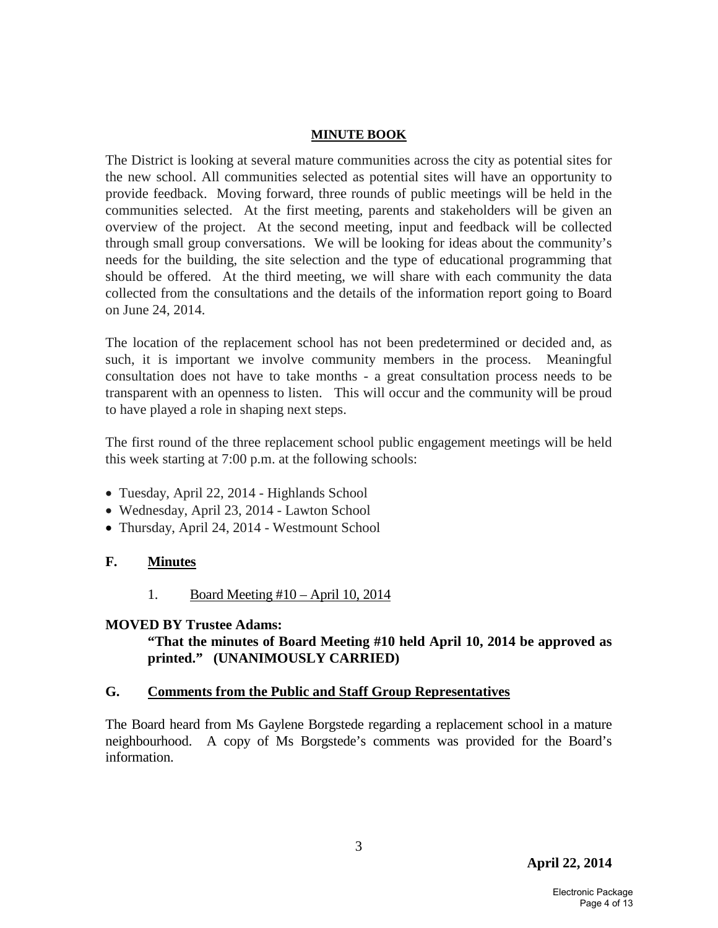The District is looking at several mature communities across the city as potential sites for the new school. All communities selected as potential sites will have an opportunity to provide feedback. Moving forward, three rounds of public meetings will be held in the communities selected. At the first meeting, parents and stakeholders will be given an overview of the project. At the second meeting, input and feedback will be collected through small group conversations. We will be looking for ideas about the community's needs for the building, the site selection and the type of educational programming that should be offered. At the third meeting, we will share with each community the data collected from the consultations and the details of the information report going to Board on June 24, 2014.

The location of the replacement school has not been predetermined or decided and, as such, it is important we involve community members in the process. Meaningful consultation does not have to take months - a great consultation process needs to be transparent with an openness to listen. This will occur and the community will be proud to have played a role in shaping next steps.

The first round of the three replacement school public engagement meetings will be held this week starting at 7:00 p.m. at the following schools:

- Tuesday, April 22, 2014 Highlands School
- Wednesday, April 23, 2014 Lawton School
- Thursday, April 24, 2014 Westmount School

#### **F. Minutes**

1. Board Meeting #10 – April 10, 2014

#### **MOVED BY Trustee Adams:**

### **"That the minutes of Board Meeting #10 held April 10, 2014 be approved as printed." (UNANIMOUSLY CARRIED)**

#### **G. Comments from the Public and Staff Group Representatives**

The Board heard from Ms Gaylene Borgstede regarding a replacement school in a mature neighbourhood. A copy of Ms Borgstede's comments was provided for the Board's information.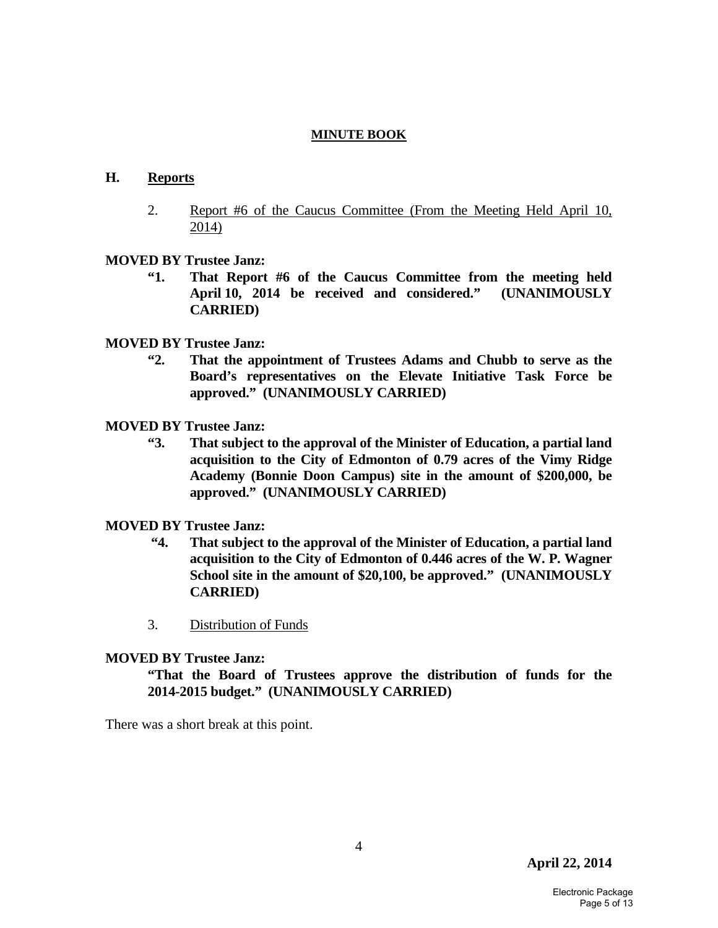### **H. Reports**

 2. Report #6 of the Caucus Committee (From the Meeting Held April 10, 2014)

### **MOVED BY Trustee Janz:**

 **"1. That Report #6 of the Caucus Committee from the meeting held April 10, 2014 be received and considered." (UNANIMOUSLY CARRIED)**

# **MOVED BY Trustee Janz:**

- **"2. That the appointment of Trustees Adams and Chubb to serve as the Board's representatives on the Elevate Initiative Task Force be approved." (UNANIMOUSLY CARRIED)**
- **MOVED BY Trustee Janz:** 
	- **"3. That subject to the approval of the Minister of Education, a partial land acquisition to the City of Edmonton of 0.79 acres of the Vimy Ridge Academy (Bonnie Doon Campus) site in the amount of \$200,000, be approved." (UNANIMOUSLY CARRIED)**

# **MOVED BY Trustee Janz:**

- **"4. That subject to the approval of the Minister of Education, a partial land acquisition to the City of Edmonton of 0.446 acres of the W. P. Wagner School site in the amount of \$20,100, be approved." (UNANIMOUSLY CARRIED)**
- 3. Distribution of Funds

#### **MOVED BY Trustee Janz:**

 **"That the Board of Trustees approve the distribution of funds for the 2014-2015 budget." (UNANIMOUSLY CARRIED)**

There was a short break at this point.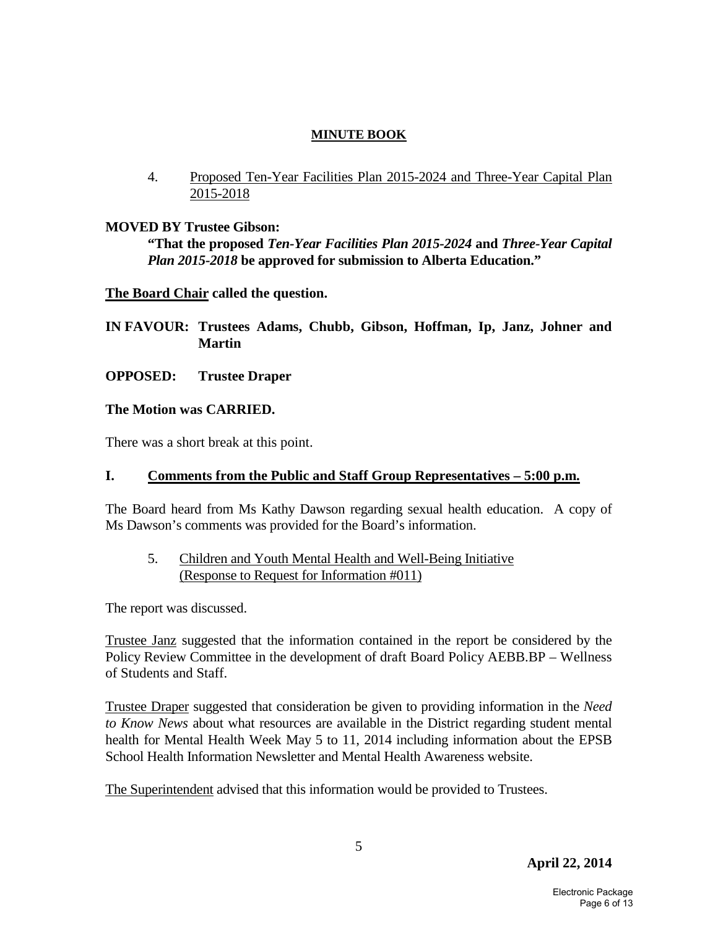4. Proposed Ten-Year Facilities Plan 2015-2024 and Three-Year Capital Plan 2015-2018

# **MOVED BY Trustee Gibson:**

 **"That the proposed** *Ten-Year Facilities Plan 2015-2024* **and** *Three-Year Capital Plan 2015-2018* **be approved for submission to Alberta Education."** 

### **The Board Chair called the question.**

- **IN FAVOUR: Trustees Adams, Chubb, Gibson, Hoffman, Ip, Janz, Johner and Martin**
- **OPPOSED: Trustee Draper**

### **The Motion was CARRIED.**

There was a short break at this point.

#### **I. Comments from the Public and Staff Group Representatives – 5:00 p.m.**

The Board heard from Ms Kathy Dawson regarding sexual health education. A copy of Ms Dawson's comments was provided for the Board's information.

# 5. Children and Youth Mental Health and Well-Being Initiative (Response to Request for Information #011)

The report was discussed.

Trustee Janz suggested that the information contained in the report be considered by the Policy Review Committee in the development of draft Board Policy AEBB.BP – Wellness of Students and Staff.

Trustee Draper suggested that consideration be given to providing information in the *Need to Know News* about what resources are available in the District regarding student mental health for Mental Health Week May 5 to 11, 2014 including information about the EPSB School Health Information Newsletter and Mental Health Awareness website.

The Superintendent advised that this information would be provided to Trustees.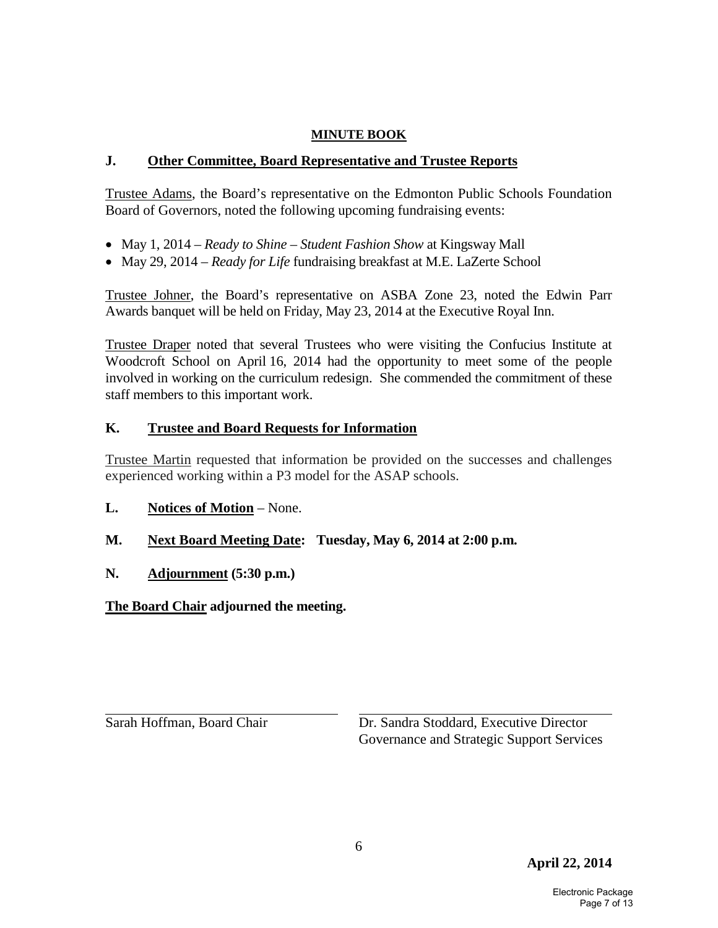# **J. Other Committee, Board Representative and Trustee Reports**

Trustee Adams, the Board's representative on the Edmonton Public Schools Foundation Board of Governors, noted the following upcoming fundraising events:

- May 1, 2014 *Ready to Shine Student Fashion Show* at Kingsway Mall
- May 29, 2014 *Ready for Life* fundraising breakfast at M.E. LaZerte School

Trustee Johner, the Board's representative on ASBA Zone 23, noted the Edwin Parr Awards banquet will be held on Friday, May 23, 2014 at the Executive Royal Inn.

Trustee Draper noted that several Trustees who were visiting the Confucius Institute at Woodcroft School on April 16, 2014 had the opportunity to meet some of the people involved in working on the curriculum redesign. She commended the commitment of these staff members to this important work.

# **K. Trustee and Board Requests for Information**

Trustee Martin requested that information be provided on the successes and challenges experienced working within a P3 model for the ASAP schools.

- **L. Notices of Motion** None.
- **M. Next Board Meeting Date: Tuesday, May 6, 2014 at 2:00 p.m.**
- **N. Adjournment (5:30 p.m.)**

**The Board Chair adjourned the meeting.**

Sarah Hoffman, Board Chair Dr. Sandra Stoddard, Executive Director Governance and Strategic Support Services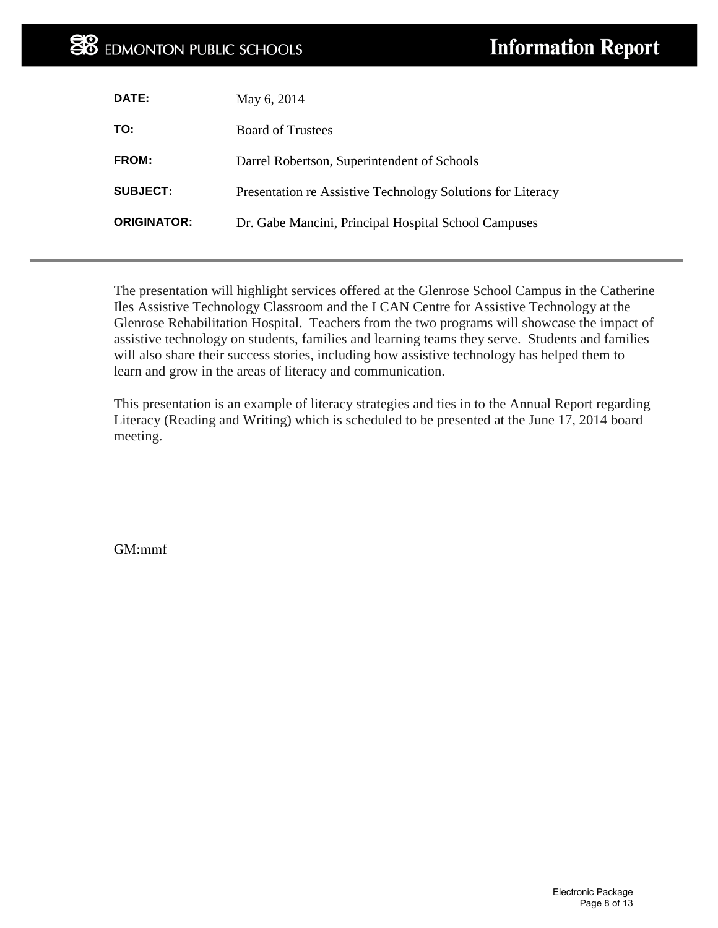# **EX** EDMONTON PUBLIC SCHOOLS

| DATE:              | May 6, 2014                                                 |
|--------------------|-------------------------------------------------------------|
| TO:                | <b>Board of Trustees</b>                                    |
| FROM:              | Darrel Robertson, Superintendent of Schools                 |
| <b>SUBJECT:</b>    | Presentation re Assistive Technology Solutions for Literacy |
| <b>ORIGINATOR:</b> | Dr. Gabe Mancini, Principal Hospital School Campuses        |
|                    |                                                             |

The presentation will highlight services offered at the Glenrose School Campus in the Catherine Iles Assistive Technology Classroom and the I CAN Centre for Assistive Technology at the Glenrose Rehabilitation Hospital. Teachers from the two programs will showcase the impact of assistive technology on students, families and learning teams they serve. Students and families will also share their success stories, including how assistive technology has helped them to learn and grow in the areas of literacy and communication.

This presentation is an example of literacy strategies and ties in to the Annual Report regarding Literacy (Reading and Writing) which is scheduled to be presented at the June 17, 2014 board meeting.

GM:mmf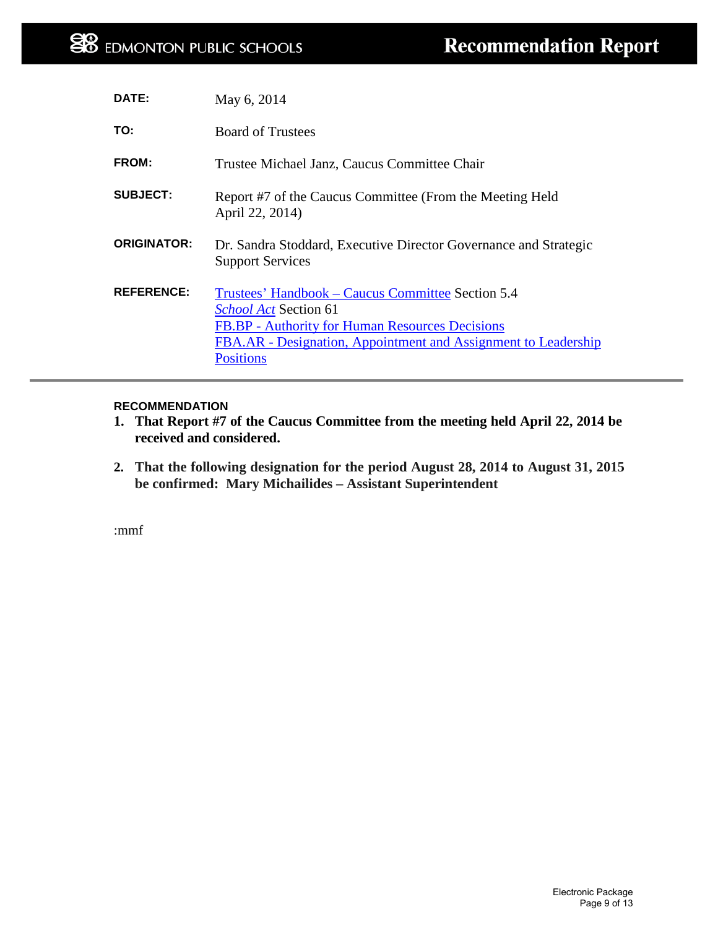| DATE:              | May 6, 2014                                                                                                                                                                                                                |
|--------------------|----------------------------------------------------------------------------------------------------------------------------------------------------------------------------------------------------------------------------|
| TO:                | <b>Board of Trustees</b>                                                                                                                                                                                                   |
| FROM:              | Trustee Michael Janz, Caucus Committee Chair                                                                                                                                                                               |
| <b>SUBJECT:</b>    | Report #7 of the Caucus Committee (From the Meeting Held<br>April 22, 2014)                                                                                                                                                |
| <b>ORIGINATOR:</b> | Dr. Sandra Stoddard, Executive Director Governance and Strategic<br><b>Support Services</b>                                                                                                                                |
| <b>REFERENCE:</b>  | Trustees' Handbook – Caucus Committee Section 5.4<br><i>School Act Section 61</i><br>FB.BP - Authority for Human Resources Decisions<br>FBA.AR - Designation, Appointment and Assignment to Leadership<br><b>Positions</b> |

#### **RECOMMENDATION**

- **1. That Report #7 of the Caucus Committee from the meeting held April 22, 2014 be received and considered.**
- **2. That the following designation for the period August 28, 2014 to August 31, 2015 be confirmed: Mary Michailides – Assistant Superintendent**

:mmf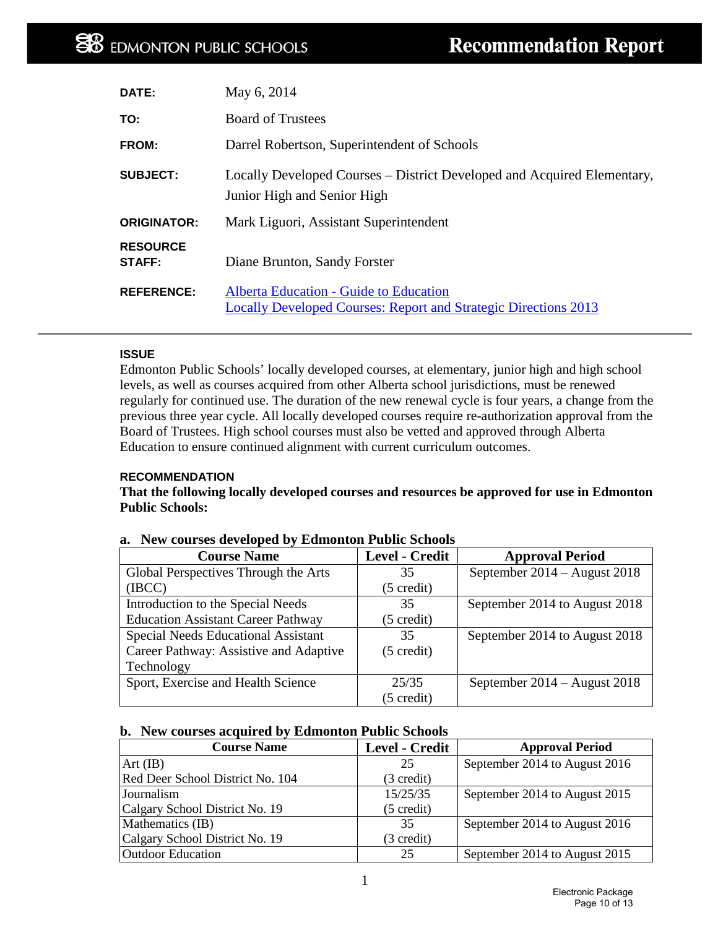| DATE:                     | May 6, 2014                                                                                                      |
|---------------------------|------------------------------------------------------------------------------------------------------------------|
| TO:                       | <b>Board of Trustees</b>                                                                                         |
| FROM:                     | Darrel Robertson, Superintendent of Schools                                                                      |
| <b>SUBJECT:</b>           | Locally Developed Courses – District Developed and Acquired Elementary,<br>Junior High and Senior High           |
| <b>ORIGINATOR:</b>        | Mark Liguori, Assistant Superintendent                                                                           |
| <b>RESOURCE</b><br>STAFF: | Diane Brunton, Sandy Forster                                                                                     |
| <b>REFERENCE:</b>         | Alberta Education - Guide to Education<br><b>Locally Developed Courses: Report and Strategic Directions 2013</b> |

#### **ISSUE**

Edmonton Public Schools' locally developed courses, at elementary, junior high and high school levels, as well as courses acquired from other Alberta school jurisdictions, must be renewed regularly for continued use. The duration of the new renewal cycle is four years, a change from the previous three year cycle. All locally developed courses require re-authorization approval from the Board of Trustees. High school courses must also be vetted and approved through Alberta Education to ensure continued alignment with current curriculum outcomes.

#### **RECOMMENDATION**

**That the following locally developed courses and resources be approved for use in Edmonton Public Schools:** 

| <b>Course Name</b>                        | <b>Level - Credit</b> | <b>Approval Period</b>         |
|-------------------------------------------|-----------------------|--------------------------------|
| Global Perspectives Through the Arts      | 35                    | September 2014 – August 2018   |
| (IECC)                                    | $(5 \text{ credit})$  |                                |
| Introduction to the Special Needs         | 35                    | September 2014 to August 2018  |
| <b>Education Assistant Career Pathway</b> | $(5 \text{ credit})$  |                                |
| Special Needs Educational Assistant       | 35                    | September 2014 to August 2018  |
| Career Pathway: Assistive and Adaptive    | $(5 \text{ credit})$  |                                |
| Technology                                |                       |                                |
| Sport, Exercise and Health Science        | 25/35                 | September $2014 -$ August 2018 |
|                                           | $(5 \text{ credit})$  |                                |

#### **a. New courses developed by Edmonton Public Schools**

#### **b. New courses acquired by Edmonton Public Schools**

| <b>Course Name</b>               | Level - Credit       | <b>Approval Period</b>        |
|----------------------------------|----------------------|-------------------------------|
| $Art$ (IB)                       | 25                   | September 2014 to August 2016 |
| Red Deer School District No. 104 | (3 credit)           |                               |
| <b>Journalism</b>                | 15/25/35             | September 2014 to August 2015 |
| Calgary School District No. 19   | $(5 \text{ credit})$ |                               |
| Mathematics (IB)                 | 35                   | September 2014 to August 2016 |
| Calgary School District No. 19   | (3 credit)           |                               |
| <b>Outdoor Education</b>         | 25                   | September 2014 to August 2015 |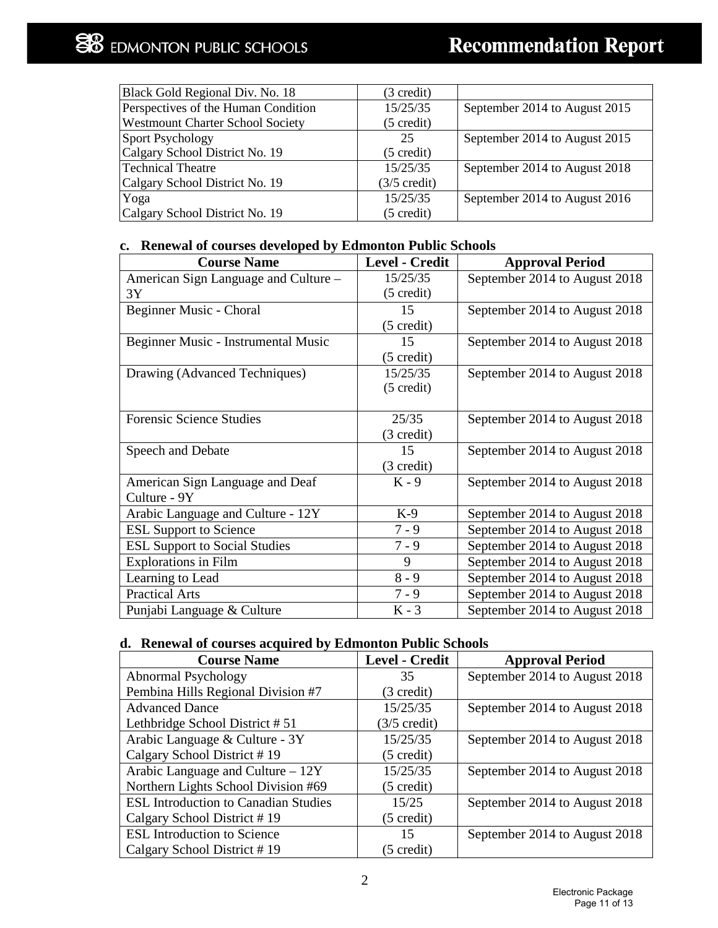| Black Gold Regional Div. No. 18         | (3 credit)             |                               |
|-----------------------------------------|------------------------|-------------------------------|
| Perspectives of the Human Condition     | 15/25/35               | September 2014 to August 2015 |
| <b>Westmount Charter School Society</b> | $(5 \text{ credit})$   |                               |
| Sport Psychology                        | 25                     | September 2014 to August 2015 |
| Calgary School District No. 19          | $(5 \text{ credit})$   |                               |
| Technical Theatre                       | 15/25/35               | September 2014 to August 2018 |
| Calgary School District No. 19          | $(3/5 \text{ credit})$ |                               |
| Yoga                                    | 15/25/35               | September 2014 to August 2016 |
| Calgary School District No. 19          | $(5 \text{ credit})$   |                               |

#### **c. Renewal of courses developed by Edmonton Public Schools**

| <b>Course Name</b>                   | Level - Credit       | <b>Approval Period</b>        |
|--------------------------------------|----------------------|-------------------------------|
| American Sign Language and Culture - | 15/25/35             | September 2014 to August 2018 |
| 3Y                                   | $(5 \text{ credit})$ |                               |
| Beginner Music - Choral              | 15                   | September 2014 to August 2018 |
|                                      | $(5 \text{ credit})$ |                               |
| Beginner Music - Instrumental Music  | 15                   | September 2014 to August 2018 |
|                                      | $(5 \text{ credit})$ |                               |
| Drawing (Advanced Techniques)        | 15/25/35             | September 2014 to August 2018 |
|                                      | $(5 \text{ credit})$ |                               |
|                                      |                      |                               |
| <b>Forensic Science Studies</b>      | 25/35                | September 2014 to August 2018 |
|                                      | (3 credit)           |                               |
| Speech and Debate                    | 15                   | September 2014 to August 2018 |
|                                      | (3 credit)           |                               |
| American Sign Language and Deaf      | $K - 9$              | September 2014 to August 2018 |
| Culture - 9Y                         |                      |                               |
| Arabic Language and Culture - 12Y    | $K-9$                | September 2014 to August 2018 |
| <b>ESL Support to Science</b>        | $7 - 9$              | September 2014 to August 2018 |
| <b>ESL Support to Social Studies</b> | $7 - 9$              | September 2014 to August 2018 |
| <b>Explorations in Film</b>          | 9                    | September 2014 to August 2018 |
| Learning to Lead                     | $8 - 9$              | September 2014 to August 2018 |
| <b>Practical Arts</b>                | $7 - 9$              | September 2014 to August 2018 |
| Punjabi Language & Culture           | $K - 3$              | September 2014 to August 2018 |

# **d. Renewal of courses acquired by Edmonton Public Schools**

| <b>Course Name</b>                          | <b>Level - Credit</b>  | <b>Approval Period</b>        |
|---------------------------------------------|------------------------|-------------------------------|
| Abnormal Psychology                         | 35                     | September 2014 to August 2018 |
| Pembina Hills Regional Division #7          | $(3 \text{ credit})$   |                               |
| <b>Advanced Dance</b>                       | 15/25/35               | September 2014 to August 2018 |
| Lethbridge School District #51              | $(3/5 \text{ credit})$ |                               |
| Arabic Language & Culture - 3Y              | 15/25/35               | September 2014 to August 2018 |
| Calgary School District #19                 | $(5 \text{ credit})$   |                               |
| Arabic Language and Culture $-12Y$          | 15/25/35               | September 2014 to August 2018 |
| Northern Lights School Division #69         | $(5 \text{ credit})$   |                               |
| <b>ESL Introduction to Canadian Studies</b> | 15/25                  | September 2014 to August 2018 |
| Calgary School District #19                 | $(5 \text{ credit})$   |                               |
| <b>ESL Introduction to Science</b>          | 15                     | September 2014 to August 2018 |
| Calgary School District #19                 | $(5 \text{ credit})$   |                               |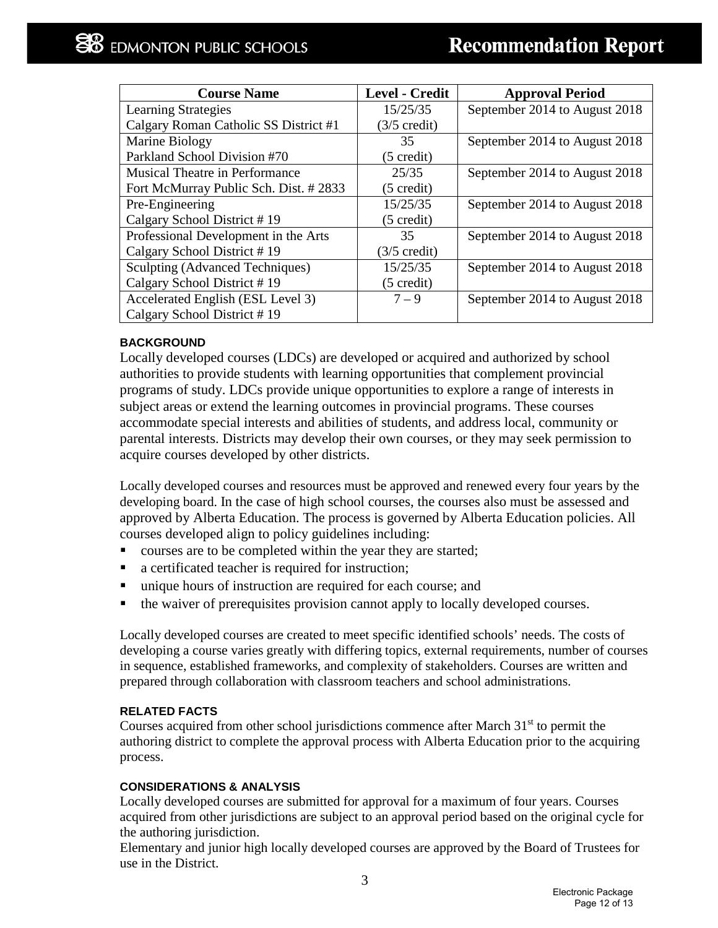| <b>Course Name</b>                    | <b>Level - Credit</b>  | <b>Approval Period</b>        |
|---------------------------------------|------------------------|-------------------------------|
| <b>Learning Strategies</b>            | 15/25/35               | September 2014 to August 2018 |
| Calgary Roman Catholic SS District #1 | $(3/5 \text{ credit})$ |                               |
| Marine Biology                        | 35                     | September 2014 to August 2018 |
| Parkland School Division #70          | $(5 \text{ credit})$   |                               |
| <b>Musical Theatre in Performance</b> | 25/35                  | September 2014 to August 2018 |
| Fort McMurray Public Sch. Dist. #2833 | $(5 \text{ credit})$   |                               |
| Pre-Engineering                       | 15/25/35               | September 2014 to August 2018 |
| Calgary School District #19           | $(5 \text{ credit})$   |                               |
| Professional Development in the Arts  | 35                     | September 2014 to August 2018 |
| Calgary School District #19           | $(3/5 \text{ credit})$ |                               |
| Sculpting (Advanced Techniques)       | 15/25/35               | September 2014 to August 2018 |
| Calgary School District #19           | $(5 \text{ credit})$   |                               |
| Accelerated English (ESL Level 3)     | $7 - 9$                | September 2014 to August 2018 |
| Calgary School District #19           |                        |                               |

#### **BACKGROUND**

Locally developed courses (LDCs) are developed or acquired and authorized by school authorities to provide students with learning opportunities that complement provincial programs of study. LDCs provide unique opportunities to explore a range of interests in subject areas or extend the learning outcomes in provincial programs. These courses accommodate special interests and abilities of students, and address local, community or parental interests. Districts may develop their own courses, or they may seek permission to acquire courses developed by other districts.

Locally developed courses and resources must be approved and renewed every four years by the developing board. In the case of high school courses, the courses also must be assessed and approved by Alberta Education. The process is governed by Alberta Education policies. All courses developed align to policy guidelines including:

- courses are to be completed within the year they are started;
- a certificated teacher is required for instruction;
- unique hours of instruction are required for each course; and
- the waiver of prerequisites provision cannot apply to locally developed courses.

Locally developed courses are created to meet specific identified schools' needs. The costs of developing a course varies greatly with differing topics, external requirements, number of courses in sequence, established frameworks, and complexity of stakeholders. Courses are written and prepared through collaboration with classroom teachers and school administrations.

#### **RELATED FACTS**

Courses acquired from other school jurisdictions commence after March  $31<sup>st</sup>$  to permit the authoring district to complete the approval process with Alberta Education prior to the acquiring process.

#### **CONSIDERATIONS & ANALYSIS**

Locally developed courses are submitted for approval for a maximum of four years. Courses acquired from other jurisdictions are subject to an approval period based on the original cycle for the authoring jurisdiction.

Elementary and junior high locally developed courses are approved by the Board of Trustees for use in the District.